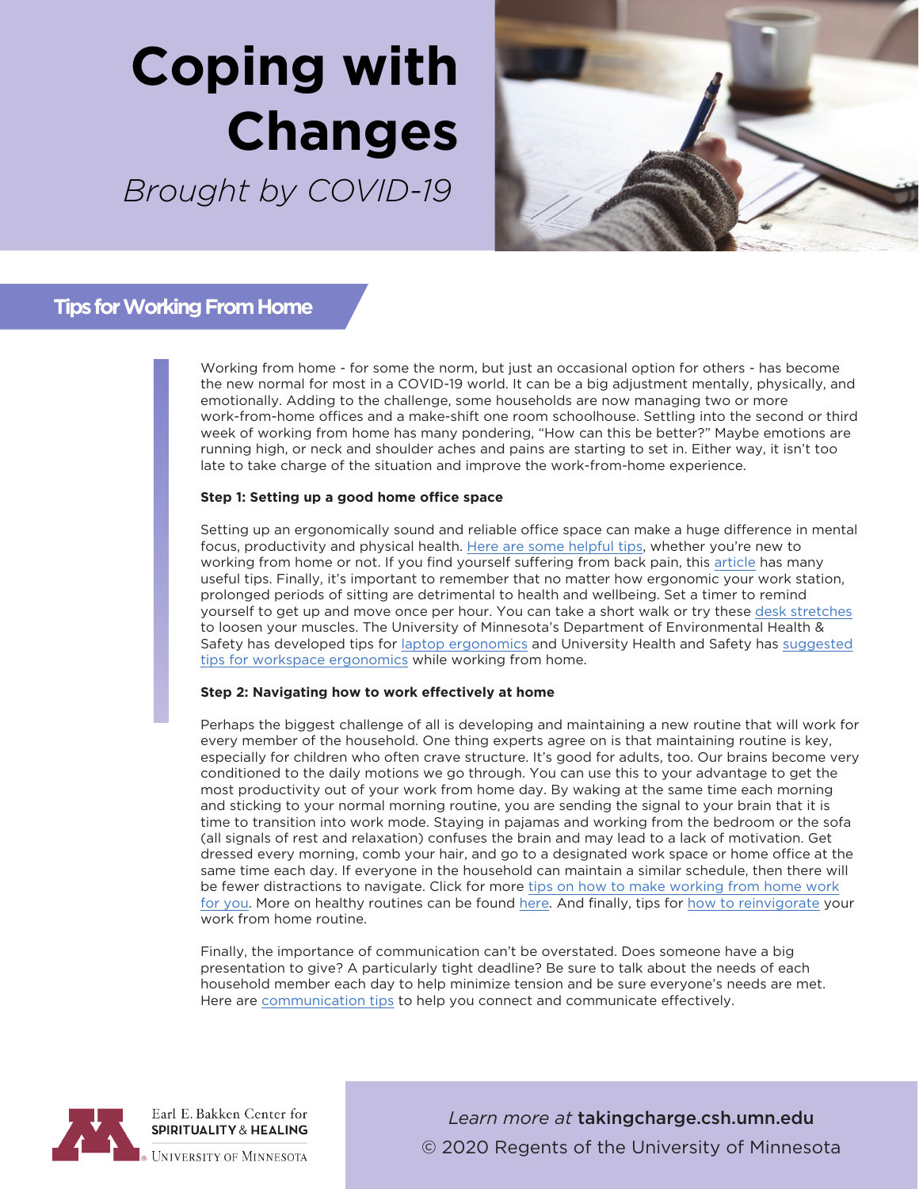# **Coping with Changes**

*Brought by COVID-19*



### **Tips for Working From Home**

Working from home - for some the norm, but just an occasional option for others - has become the new normal for most in a COVID-19 world. It can be a big adjustment mentally, physically, and emotionally. Adding to the challenge, some households are now managing two or more work-from-home offices and a make-shift one room schoolhouse. Settling into the second or third week of working from home has many pondering, "How can this be better?" Maybe emotions are running high, or neck and shoulder aches and pains are starting to set in. Either way, it isn't too late to take charge of the situation and improve the work-from-home experience.

### **Step 1: Setting up a good home office space**

Setting up an ergonomically sound and reliable office space can make a huge difference in mental focus, productivity and physical health. [Here are some helpful tips,](https://www.pcmag.com/how-to/everything-you-need-to-set-up-an-ergonomic-home-office) whether you're new to working from home or not. If you find yourself suffering from back pain, this [article](https://www.mayoclinic.org/healthy-lifestyle/adult-health/in-depth/back-pain/art-20044526) has many useful tips. Finally, it's important to remember that no matter how ergonomic your work station, prolonged periods of sitting are detrimental to health and wellbeing. Set a timer to remind yourself to get up and move once per hour. You can take a short walk or try these [desk stretches](https://www.mayoclinic.org/healthy-lifestyle/adult-health/in-depth/office-stretches/art-20046041) to loosen your muscles. The University of Minnesota's Department of Environmental Health & Safety has developed tips for [laptop ergonomics](https://dehs.umn.edu/laptop-ergonomics) and University Health and Safety has [suggested](https://humanresources.umn.edu/sites/humanresources.umn.edu/files/wfh_ergonomics_fact_sheet.pdf)  tips for workspace [ergonomics](https://humanresources.umn.edu/sites/humanresources.umn.edu/files/wfh_ergonomics_fact_sheet.pdf) while working from home.

#### **Step 2: Navigating how to work effectively at home**

Perhaps the biggest challenge of all is developing and maintaining a new routine that will work for every member of the household. One thing experts agree on is that maintaining routine is key, especially for children who often crave structure. It's good for adults, too. Our brains become very conditioned to the daily motions we go through. You can use this to your advantage to get the most productivity out of your work from home day. By waking at the same time each morning and sticking to your normal morning routine, you are sending the signal to your brain that it is time to transition into work mode. Staying in pajamas and working from the bedroom or the sofa (all signals of rest and relaxation) confuses the brain and may lead to a lack of motivation. Get dressed every morning, comb your hair, and go to a designated work space or home office at the same time each day. If everyone in the household can maintain a similar schedule, then there will be fewer distractions to navigate. Click for more [tips on how to make working from home work](https://www.npr.org/2020/03/15/815549926/8-tips-to-make-working-from-home-work-for-you)  [for you.](https://www.npr.org/2020/03/15/815549926/8-tips-to-make-working-from-home-work-for-you) More on healthy routines can be found [here.](https://www.forbes.com/sites/francesbridges/2020/03/29/the-best-tips-on-working-from-home/#72d011a99c36) And finally, tips for [how to reinvigorate](https://www.forbes.com/sites/tracybrower/2020/03/30/why-working-from-home-is-so-exhausting-and-how-to-reinvigorate/#724148d155ab) your work from home routine.

Finally, the importance of communication can't be overstated. Does someone have a big presentation to give? A particularly tight deadline? Be sure to talk about the needs of each household member each day to help minimize tension and be sure everyone's needs are met. Here are [communication tips](https://www.takingcharge.csh.umn.edu/work-communication-healthy-relationships) to help you connect and communicate effectively.



Earl E. Bakken Center for **SPIRITUALITY & HEALING** 

**UNIVERSITY OF MINNESOTA** 

*Learn more at* takingcharge.csh.umn.edu © 2020 Regents of the University of Minnesota